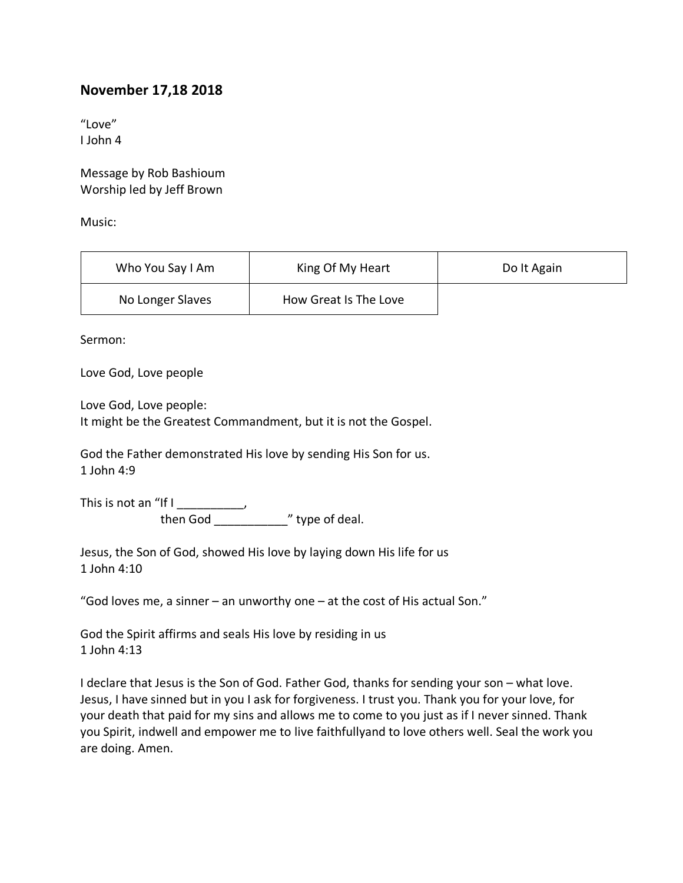## **November 17,18 2018**

"Love" I John 4

Message by Rob Bashioum Worship led by Jeff Brown

Music:

| Who You Say I Am | King Of My Heart      | Do It Again |
|------------------|-----------------------|-------------|
| No Longer Slaves | How Great Is The Love |             |

Sermon:

Love God, Love people

Love God, Love people: It might be the Greatest Commandment, but it is not the Gospel.

God the Father demonstrated His love by sending His Son for us. 1 John 4:9

This is not an "If I \_\_\_\_\_\_\_\_\_\_\_\_, then God \_\_\_\_\_\_\_\_\_\_\_" type of deal.

Jesus, the Son of God, showed His love by laying down His life for us 1 John 4:10

"God loves me, a sinner – an unworthy one – at the cost of His actual Son."

God the Spirit affirms and seals His love by residing in us 1 John 4:13

I declare that Jesus is the Son of God. Father God, thanks for sending your son – what love. Jesus, I have sinned but in you I ask for forgiveness. I trust you. Thank you for your love, for your death that paid for my sins and allows me to come to you just as if I never sinned. Thank you Spirit, indwell and empower me to live faithfullyand to love others well. Seal the work you are doing. Amen.